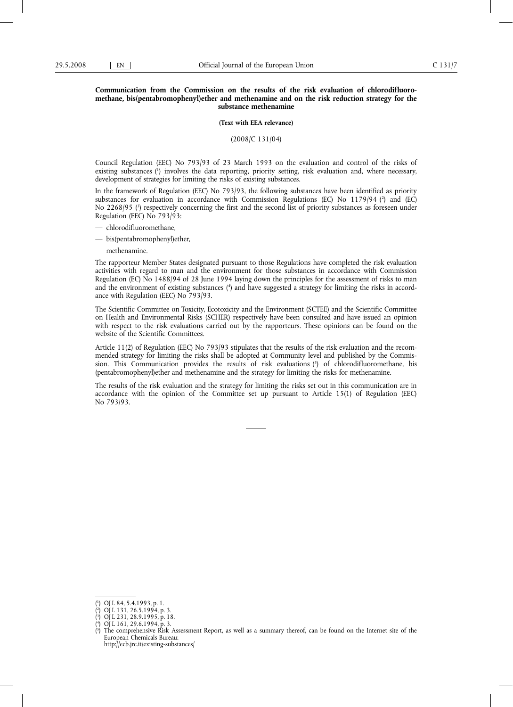# **Communication from the Commission on the results of the risk evaluation of chlorodifluoromethane, bis(pentabromophenyl)ether and methenamine and on the risk reduction strategy for the substance methenamine**

**(Text with EEA relevance)**

(2008/C 131/04)

Council Regulation (EEC) No 793/93 of 23 March 1993 on the evaluation and control of the risks of existing substances (1) involves the data reporting, priority setting, risk evaluation and, where necessary, development of strategies for limiting the risks of existing substances.

In the framework of Regulation (EEC) No 793/93, the following substances have been identified as priority substances for evaluation in accordance with Commission Regulations (EC) No 1179/94 (?) and (EC) No 2268/95 (3 ) respectively concerning the first and the second list of priority substances as foreseen under Regulation (EEC) No 793/93:

- chlorodifluoromethane,
- bis(pentabromophenyl)ether,
- methenamine.

The rapporteur Member States designated pursuant to those Regulations have completed the risk evaluation activities with regard to man and the environment for those substances in accordance with Commission Regulation (EC) No 1488/94 of 28 June 1994 laying down the principles for the assessment of risks to man and the environment of existing substances (4) and have suggested a strategy for limiting the risks in accordance with Regulation (EEC) No 793/93.

The Scientific Committee on Toxicity, Ecotoxicity and the Environment (SCTEE) and the Scientific Committee on Health and Environmental Risks (SCHER) respectively have been consulted and have issued an opinion with respect to the risk evaluations carried out by the rapporteurs. These opinions can be found on the website of the Scientific Committees.

Article 11(2) of Regulation (EEC) No 793/93 stipulates that the results of the risk evaluation and the recommended strategy for limiting the risks shall be adopted at Community level and published by the Commission. This Communication provides the results of risk evaluations  $\binom{5}{1}$  of chlorodifluoromethane, bis (pentabromophenyl)ether and methenamine and the strategy for limiting the risks for methenamine.

The results of the risk evaluation and the strategy for limiting the risks set out in this communication are in accordance with the opinion of the Committee set up pursuant to Article 15(1) of Regulation (EEC) No 793/93.

<sup>(</sup> 1 ) OJ L 84, 5.4.1993, p. 1.

<sup>(</sup> 2 ) OJ L 131, 26.5.1994, p. 3.

<sup>(</sup> 3 ) OJ L 231, 28.9.1995, p. 18. ( 4 ) OJ L 161, 29.6.1994, p. 3.

<sup>(</sup> 5 ) The comprehensive Risk Assessment Report, as well as a summary thereof, can be found on the Internet site of the European Chemicals Bureau:

http://ecb.jrc.it/existing-substances/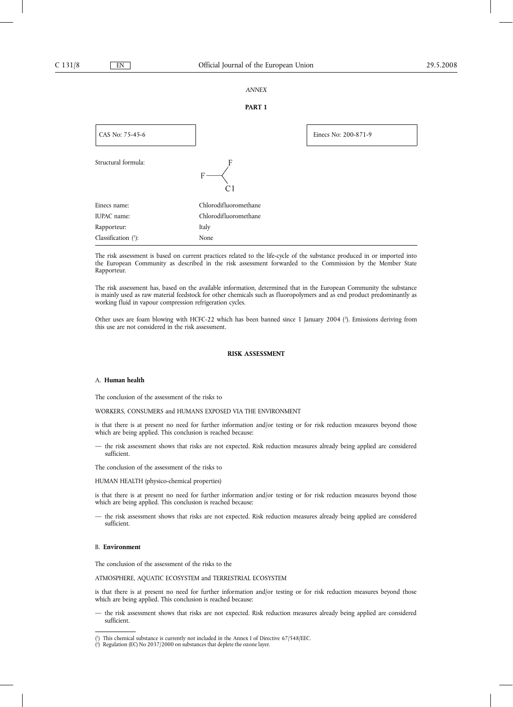### *ANNEX*

### **PART 1**

| CAS No: 75-45-6     |                       | Einecs No: 200-871-9 |
|---------------------|-----------------------|----------------------|
| Structural formula: | F<br>$\rm C$          |                      |
| Einecs name:        | Chlorodifluoromethane |                      |
| IUPAC name:         | Chlorodifluoromethane |                      |
| Rapporteur:         | Italy                 |                      |
| Classification (1): | None                  |                      |

The risk assessment is based on current practices related to the life-cycle of the substance produced in or imported into the European Community as described in the risk assessment forwarded to the Commission by the Member State Rapporteur.

The risk assessment has, based on the available information, determined that in the European Community the substance is mainly used as raw material feedstock for other chemicals such as fluoropolymers and as end product predominantly as working fluid in vapour compression refrigeration cycles.

Other uses are foam blowing with HCFC-22 which has been banned since 1 January 2004 (?). Emissions deriving from this use are not considered in the risk assessment.

# **RISK ASSESSMENT**

# A. **Human health**

The conclusion of the assessment of the risks to

WORKERS, CONSUMERS and HUMANS EXPOSED VIA THE ENVIRONMENT

is that there is at present no need for further information and/or testing or for risk reduction measures beyond those which are being applied. This conclusion is reached because:

— the risk assessment shows that risks are not expected. Risk reduction measures already being applied are considered sufficient.

The conclusion of the assessment of the risks to

HUMAN HEALTH (physico-chemical properties)

is that there is at present no need for further information and/or testing or for risk reduction measures beyond those which are being applied. This conclusion is reached because:

— the risk assessment shows that risks are not expected. Risk reduction measures already being applied are considered sufficient.

#### B. **Environment**

The conclusion of the assessment of the risks to the

ATMOSPHERE, AQUATIC ECOSYSTEM and TERRESTRIAL ECOSYSTEM

is that there is at present no need for further information and/or testing or for risk reduction measures beyond those which are being applied. This conclusion is reached because:

— the risk assessment shows that risks are not expected. Risk reduction measures already being applied are considered sufficient.

<sup>(</sup> 1 ) This chemical substance is currently not included in the Annex I of Directive 67/548/EEC.

<sup>(</sup> 2 ) Regulation (EC) No 2037/2000 on substances that deplete the ozone layer.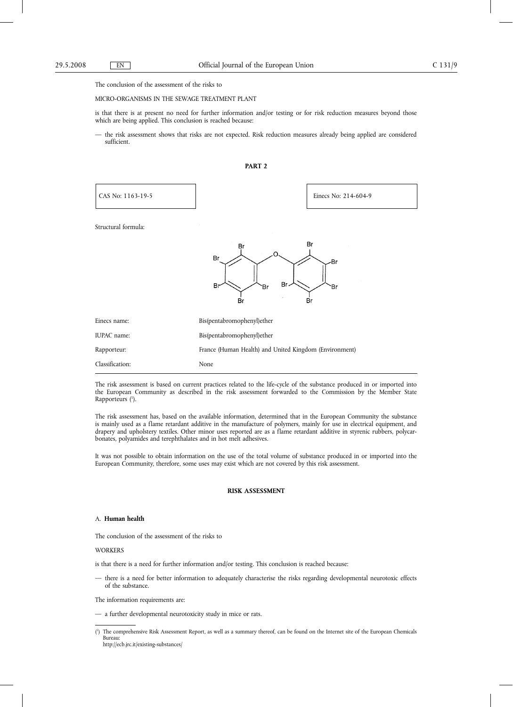#### MICRO-ORGANISMS IN THE SEWAGE TREATMENT PLANT

is that there is at present no need for further information and/or testing or for risk reduction measures beyond those which are being applied. This conclusion is reached because:

— the risk assessment shows that risks are not expected. Risk reduction measures already being applied are considered sufficient.



| CAS No: 1163-19-5   | Einecs No: 214-604-9                                        |  |
|---------------------|-------------------------------------------------------------|--|
| Structural formula: |                                                             |  |
|                     | Br<br>Br<br>Br<br>-Br<br>Br.<br>Br<br>`Br<br>Έr<br>Br<br>Br |  |
| Einecs name:        | Bis(pentabromophenyl)ether                                  |  |
| IUPAC name:         | Bis(pentabromophenyl)ether                                  |  |
| Rapporteur:         | France (Human Health) and United Kingdom (Environment)      |  |
| Classification:     | None                                                        |  |

The risk assessment is based on current practices related to the life-cycle of the substance produced in or imported into the European Community as described in the risk assessment forwarded to the Commission by the Member State Rapporteurs (1).

The risk assessment has, based on the available information, determined that in the European Community the substance is mainly used as a flame retardant additive in the manufacture of polymers, mainly for use in electrical equipment, and drapery and upholstery textiles. Other minor uses reported are as a flame retardant additive in styrenic rubbers, polycarbonates, polyamides and terephthalates and in hot melt adhesives.

It was not possible to obtain information on the use of the total volume of substance produced in or imported into the European Community, therefore, some uses may exist which are not covered by this risk assessment.

# **RISK ASSESSMENT**

### A. **Human health**

The conclusion of the assessment of the risks to

### **WORKERS**

is that there is a need for further information and/or testing. This conclusion is reached because:

— there is a need for better information to adequately characterise the risks regarding developmental neurotoxic effects of the substance.

The information requirements are:

— a further developmental neurotoxicity study in mice or rats.

<sup>(</sup> 1 ) The comprehensive Risk Assessment Report, as well as a summary thereof, can be found on the Internet site of the European Chemicals Bureau: http://ecb.jrc.it/existing-substances/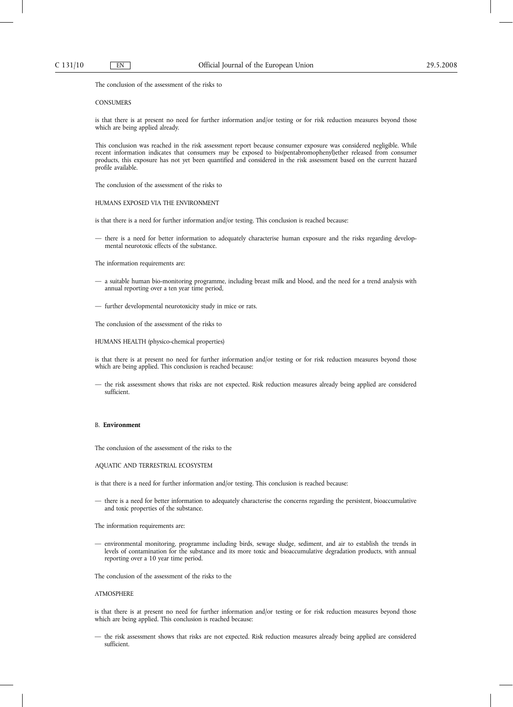### **CONSUMERS**

is that there is at present no need for further information and/or testing or for risk reduction measures beyond those which are being applied already.

This conclusion was reached in the risk assessment report because consumer exposure was considered negligible. While recent information indicates that consumers may be exposed to bis(pentabromophenyl)ether released from consumer products, this exposure has not yet been quantified and considered in the risk assessment based on the current hazard profile available.

The conclusion of the assessment of the risks to

HUMANS EXPOSED VIA THE ENVIRONMENT

is that there is a need for further information and/or testing. This conclusion is reached because:

— there is a need for better information to adequately characterise human exposure and the risks regarding developmental neurotoxic effects of the substance.

The information requirements are:

- a suitable human bio-monitoring programme, including breast milk and blood, and the need for a trend analysis with annual reporting over a ten year time period,
- further developmental neurotoxicity study in mice or rats.

The conclusion of the assessment of the risks to

HUMANS HEALTH (physico-chemical properties)

is that there is at present no need for further information and/or testing or for risk reduction measures beyond those which are being applied. This conclusion is reached because:

— the risk assessment shows that risks are not expected. Risk reduction measures already being applied are considered sufficient.

# B. **Environment**

The conclusion of the assessment of the risks to the

## AQUATIC AND TERRESTRIAL ECOSYSTEM

is that there is a need for further information and/or testing. This conclusion is reached because:

— there is a need for better information to adequately characterise the concerns regarding the persistent, bioaccumulative and toxic properties of the substance.

The information requirements are:

— environmental monitoring, programme including birds, sewage sludge, sediment, and air to establish the trends in levels of contamination for the substance and its more toxic and bioaccumulative degradation products, with annual reporting over a 10 year time period.

The conclusion of the assessment of the risks to the

#### ATMOSPHERE

is that there is at present no need for further information and/or testing or for risk reduction measures beyond those which are being applied. This conclusion is reached because:

— the risk assessment shows that risks are not expected. Risk reduction measures already being applied are considered sufficient.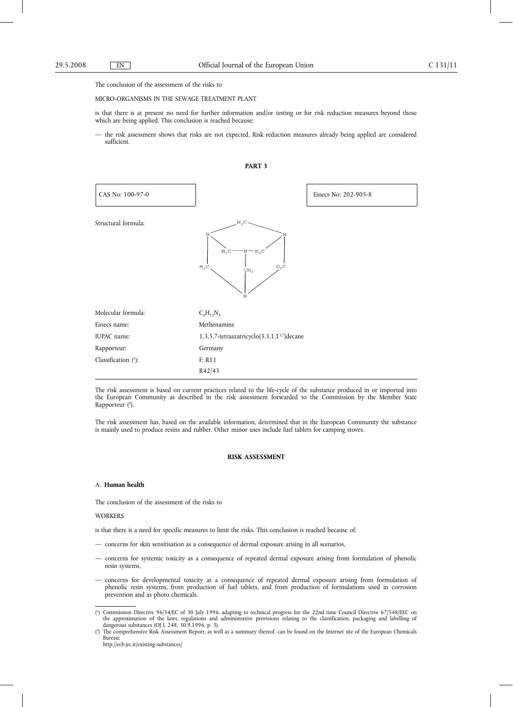#### MICRO-ORGANISMS IN THE SEWAGE TREATMENT PLANT

is that there is at present no need for further information and/or testing or for risk reduction measures beyond those which are being applied. This conclusion is reached because:

— the risk assessment shows that risks are not expected. Risk reduction measures already being applied are considered sufficient.





The risk assessment is based on current practices related to the life-cycle of the substance produced in or imported into the European Community as described in the risk assessment forwarded to the Commission by the Member State Rapporteur (2).

The risk assessment has, based on the available information, determined that in the European Community the substance is mainly used to produce resins and rubber. Other minor uses include fuel tablets for camping stoves.

### **RISK ASSESSMENT**

### A. **Human health**

The conclusion of the assessment of the risks to

#### **WORKERS**

is that there is a need for specific measures to limit the risks. This conclusion is reached because of:

- concerns for skin sensitisation as a consequence of dermal exposure arising in all scenarios,
- concerns for systemic toxicity as a consequence of repeated dermal exposure arising from formulation of phenolic resin systems,
- concerns for developmental toxicity as a consequence of repeated dermal exposure arising from formulation of phenolic resin systems, from production of fuel tablets, and from production of formulations used in corrosion prevention and as photo chemicals.

<sup>(</sup> 1 ) Commission Directive 96/54/EC of 30 July 1996, adapting to technical progress for the 22nd time Council Directive 67/548/EEC on the approximation of the laws, regulations and administrative provisions relating to the classification, packaging and labelling of dangerous substances (OJ L 248, 30.9.1996, p. 3).

 $(2)$ ) The comprehensive Risk Assessment Report, as well as a summary thereof, can be found on the Internet site of the European Chemicals Bureau:

http://ecb.jrc.it/existing-substances/